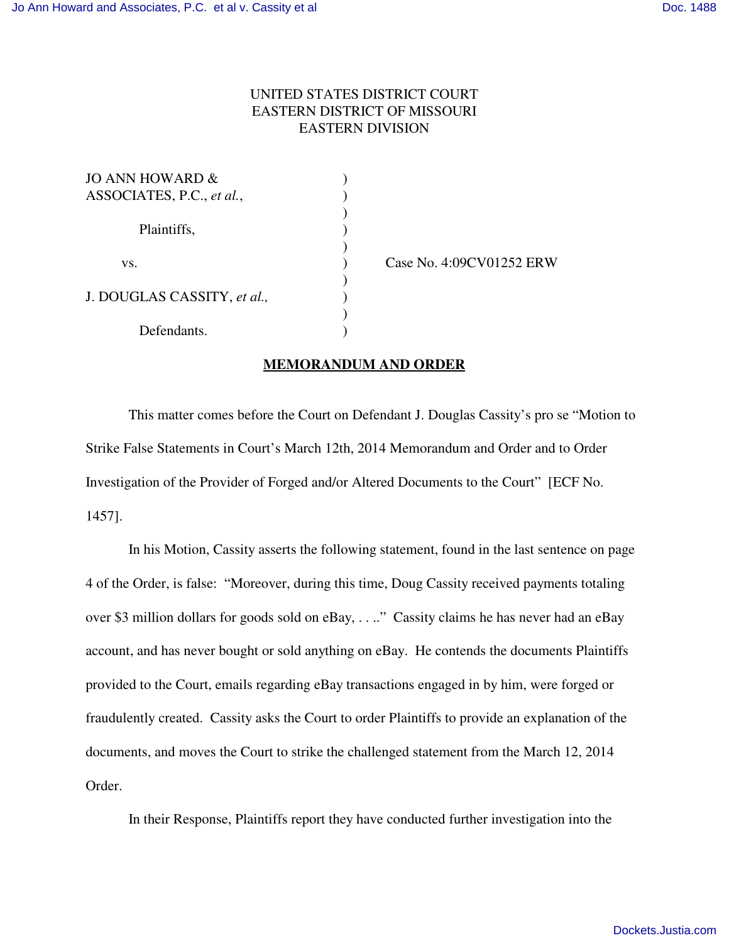## UNITED STATES DISTRICT COURT EASTERN DISTRICT OF MISSOURI EASTERN DIVISION

| JO ANN HOWARD $\&$          |  |
|-----------------------------|--|
| ASSOCIATES, P.C., et al.,   |  |
|                             |  |
| Plaintiffs,                 |  |
|                             |  |
| VS.                         |  |
|                             |  |
| J. DOUGLAS CASSITY, et al., |  |
|                             |  |
| Defendants.                 |  |

Case No. 4:09CV01252 ERW

## **MEMORANDUM AND ORDER**

This matter comes before the Court on Defendant J. Douglas Cassity's pro se "Motion to Strike False Statements in Court's March 12th, 2014 Memorandum and Order and to Order Investigation of the Provider of Forged and/or Altered Documents to the Court" [ECF No. 1457].

In his Motion, Cassity asserts the following statement, found in the last sentence on page 4 of the Order, is false: "Moreover, during this time, Doug Cassity received payments totaling over \$3 million dollars for goods sold on eBay, . . .." Cassity claims he has never had an eBay account, and has never bought or sold anything on eBay. He contends the documents Plaintiffs provided to the Court, emails regarding eBay transactions engaged in by him, were forged or fraudulently created. Cassity asks the Court to order Plaintiffs to provide an explanation of the documents, and moves the Court to strike the challenged statement from the March 12, 2014 Order.

In their Response, Plaintiffs report they have conducted further investigation into the